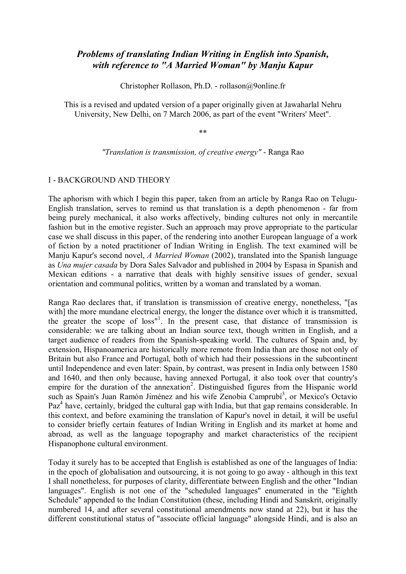## *Problems of translating Indian Writing in English into Spanish, with reference to "A Married Woman" by Manju Kapur*

Christopher Rollason, Ph.D. - rollason@9online.fr

This is a revised and updated version of a paper originally given at Jawaharlal Nehru University, New Delhi, on 7 March 2006, as part of the event "Writers' Meet".

\*\*

*"Translation is transmission, of creative energy"* - Ranga Rao

## I - BACKGROUND AND THEORY

The aphorism with which I begin this paper, taken from an article by Ranga Rao on Telugu-English translation, serves to remind us that translation is a depth phenomenon - far from being purely mechanical, it also works affectively, binding cultures not only in mercantile fashion but in the emotive register. Such an approach may prove appropriate to the particular case we shall discuss in this paper, of the rendering into another European language of a work of fiction by a noted practitioner of Indian Writing in English. The text examined will be Manju Kapur's second novel, *A Married Woman* (2002), translated into the Spanish language as *Una mujer casada* by Dora Sales Salvador and published in 2004 by Espasa in Spanish and Mexican editions - a narrative that deals with highly sensitive issues of gender, sexual orientation and communal politics, written by a woman and translated by a woman.

Ranga Rao declares that, if translation is transmission of creative energy, nonetheless, "[as with the more mundane electrical energy, the longer the distance over which it is transmitted. the greater the scope of loss"<sup>1</sup>. In the present case, that distance of transmission is considerable: we are talking about an Indian source text, though written in English, and a target audience of readers from the Spanish-speaking world. The cultures of Spain and, by extension, Hispanoamerica are historically more remote from India than are those not only of Britain but also France and Portugal, both of which had their possessions in the subcontinent until Independence and even later: Spain, by contrast, was present in India only between 1580 and 1640, and then only because, having annexed Portugal, it also took over that country's empire for the duration of the annexation<sup>2</sup>. Distinguished figures from the Hispanic world such as Spain's Juan Ramón Jiménez and his wife Zenobia Camprubí<sup>3</sup>, or Mexico's Octavio Paz<sup>4</sup> have, certainly, bridged the cultural gap with India, but that gap remains considerable. In this context, and before examining the translation of Kapur's novel in detail, it will be useful to consider briefly certain features of Indian Writing in English and its market at home and abroad, as well as the language topography and market characteristics of the recipient Hispanophone cultural environment.

Today it surely has to be accepted that English is established as one of the languages of India: in the epoch of globalisation and outsourcing, it is not going to go away - although in this text I shall nonetheless, for purposes of clarity, differentiate between English and the other "Indian languages". English is not one of the "scheduled languages" enumerated in the "Eighth Schedule" appended to the Indian Constitution (these, including Hindi and Sanskrit, originally numbered 14, and after several constitutional amendments now stand at 22), but it has the different constitutional status of "associate official language" alongside Hindi, and is also an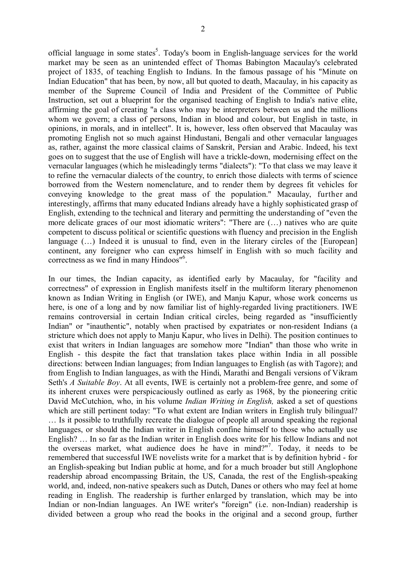official language in some states<sup>5</sup>. Today's boom in English-language services for the world market may be seen as an unintended effect of Thomas Babington Macaulay's celebrated project of 1835, of teaching English to Indians. In the famous passage of his "Minute on Indian Education" that has been, by now, all but quoted to death, Macaulay, in his capacity as member of the Supreme Council of India and President of the Committee of Public Instruction, set out a blueprint for the organised teaching of English to India's native elite, affirming the goal of creating "a class who may be interpreters between us and the millions whom we govern; a class of persons, Indian in blood and colour, but English in taste, in opinions, in morals, and in intellect". It is, however, less often observed that Macaulay was promoting English not so much against Hindustani, Bengali and other vernacular languages as, rather, against the more classical claims of Sanskrit, Persian and Arabic. Indeed, his text goes on to suggest that the use of English will have a trickle-down, modernising effect on the vernacular languages (which he misleadingly terms "dialects"): "To that class we may leave it to refine the vernacular dialects of the country, to enrich those dialects with terms of science borrowed from the Western nomenclature, and to render them by degrees fit vehicles for conveying knowledge to the great mass of the population." Macaulay, further and interestingly, affirms that many educated Indians already have a highly sophisticated grasp of English, extending to the technical and literary and permitting the understanding of "even the more delicate graces of our most idiomatic writers": "There are (…) natives who are quite competent to discuss political or scientific questions with fluency and precision in the English language  $(\ldots)$  Indeed it is unusual to find, even in the literary circles of the [European] continent, any foreigner who can express himself in English with so much facility and correctness as we find in many Hindoos"<sup>6</sup> .

In our times, the Indian capacity, as identified early by Macaulay, for "facility and correctness" of expression in English manifests itself in the multiform literary phenomenon known as Indian Writing in English (or IWE), and Manju Kapur, whose work concerns us here, is one of a long and by now familiar list of highly-regarded living practitioners. IWE remains controversial in certain Indian critical circles, being regarded as "insufficiently Indian" or "inauthentic", notably when practised by expatriates or non-resident Indians (a stricture which does not apply to Manju Kapur, who lives in Delhi). The position continues to exist that writers in Indian languages are somehow more "Indian" than those who write in English - this despite the fact that translation takes place within India in all possible directions: between Indian languages; from Indian languages to English (as with Tagore); and from English to Indian languages, as with the Hindi, Marathi and Bengali versions of Vikram Seth's *A Suitable Boy*. At all events, IWE is certainly not a problem-free genre, and some of its inherent cruxes were perspicaciously outlined as early as 1968, by the pioneering critic David McCutchion, who, in his volume *Indian Writing in English,* asked a set of questions which are still pertinent today: "To what extent are Indian writers in English truly bilingual? … Is it possible to truthfully recreate the dialogue of people all around speaking the regional languages, or should the Indian writer in English confine himself to those who actually use English? … In so far as the Indian writer in English does write for his fellow Indians and not the overseas market, what audience does he have in mind?"<sup>7</sup>. Today, it needs to be remembered that successful IWE novelists write for a market that is by definition hybrid - for an English-speaking but Indian public at home, and for a much broader but still Anglophone readership abroad encompassing Britain, the US, Canada, the rest of the English-speaking world, and, indeed, non-native speakers such as Dutch, Danes or others who may feel at home reading in English. The readership is further enlarged by translation, which may be into Indian or non-Indian languages. An IWE writer's "foreign" (i.e. non-Indian) readership is divided between a group who read the books in the original and a second group, further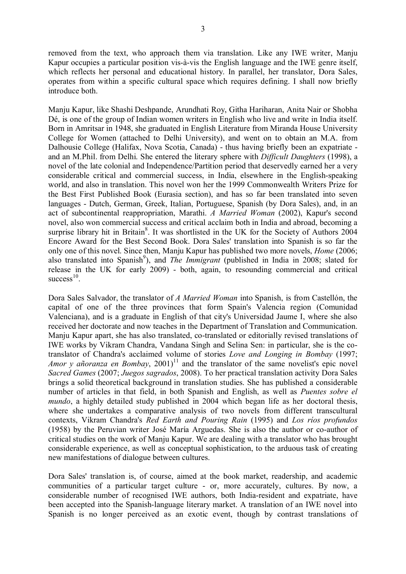removed from the text, who approach them via translation. Like any IWE writer, Manju Kapur occupies a particular position vis-à-vis the English language and the IWE genre itself, which reflects her personal and educational history. In parallel, her translator, Dora Sales, operates from within a specific cultural space which requires defining. I shall now briefly introduce both.

Manju Kapur, like Shashi Deshpande, Arundhati Roy, Githa Hariharan, Anita Nair or Shobha Dé, is one of the group of Indian women writers in English who live and write in India itself. Born in Amritsar in 1948, she graduated in English Literature from Miranda House University College for Women (attached to Delhi University), and went on to obtain an M.A. from Dalhousie College (Halifax, Nova Scotia, Canada) - thus having briefly been an expatriate and an M.Phil. from Delhi. She entered the literary sphere with *Difficult Daughters* (1998), a novel of the late colonial and Independence/Partition period that deservedly earned her a very considerable critical and commercial success, in India, elsewhere in the English-speaking world, and also in translation. This novel won her the 1999 Commonwealth Writers Prize for the Best First Published Book (Eurasia section), and has so far been translated into seven languages - Dutch, German, Greek, Italian, Portuguese, Spanish (by Dora Sales), and, in an act of subcontinental reappropriation, Marathi. *A Married Woman* (2002), Kapur's second novel, also won commercial success and critical acclaim both in India and abroad, becoming a surprise library hit in Britain<sup>8</sup>. It was shortlisted in the UK for the Society of Authors 2004 Encore Award for the Best Second Book. Dora Sales' translation into Spanish is so far the only one of this novel. Since then, Manju Kapur has published two more novels, *Home* (2006; also translated into Spanish<sup>9</sup>), and *The Immigrant* (published in India in 2008; slated for release in the UK for early 2009) - both, again, to resounding commercial and critical  $success<sup>10</sup>$ .

Dora Sales Salvador, the translator of *A Married Woman* into Spanish, is from Castellón, the capital of one of the three provinces that form Spain's Valencia region (Comunidad Valenciana), and is a graduate in English of that city's Universidad Jaume I, where she also received her doctorate and now teaches in the Department of Translation and Communication. Manju Kapur apart, she has also translated, co-translated or editorially revised translations of IWE works by Vikram Chandra, Vandana Singh and Selina Sen: in particular, she is the cotranslator of Chandra's acclaimed volume of stories *Love and Longing in Bombay* (1997; *Amor y añoranza en Bombay*,  $2001$ <sup> $11$ </sup> and the translator of the same novelist's epic novel *Sacred Games* (2007; *Juegos sagrados*, 2008). To her practical translation activity Dora Sales brings a solid theoretical background in translation studies. She has published a considerable number of articles in that field, in both Spanish and English, as well as *Puentes sobre el mundo*, a highly detailed study published in 2004 which began life as her doctoral thesis, where she undertakes a comparative analysis of two novels from different transcultural contexts, Vikram Chandra's *Red Earth and Pouring Rain* (1995) and *Los ríos profundos* (1958) by the Peruvian writer José María Arguedas. She is also the author or co-author of critical studies on the work of Manju Kapur. We are dealing with a translator who has brought considerable experience, as well as conceptual sophistication, to the arduous task of creating new manifestations of dialogue between cultures.

Dora Sales' translation is, of course, aimed at the book market, readership, and academic communities of a particular target culture - or, more accurately, cultures. By now, a considerable number of recognised IWE authors, both India-resident and expatriate, have been accepted into the Spanish-language literary market. A translation of an IWE novel into Spanish is no longer perceived as an exotic event, though by contrast translations of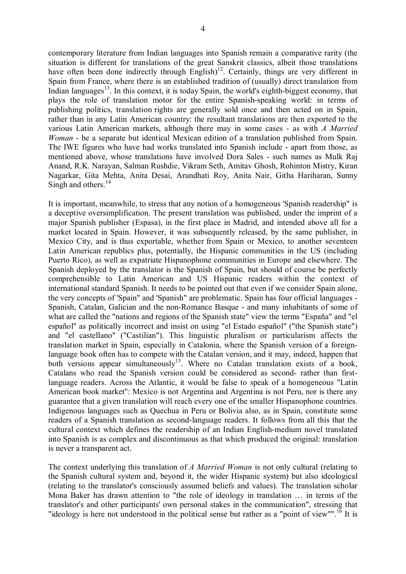contemporary literature from Indian languages into Spanish remain a comparative rarity (the situation is different for translations of the great Sanskrit classics, albeit those translations have often been done indirectly through  $English)^{12}$ . Certainly, things are very different in Spain from France, where there is an established tradition of (usually) direct translation from Indian languages<sup>13</sup>. In this context, it is today Spain, the world's eighth-biggest economy, that plays the role of translation motor for the entire Spanish-speaking world: in terms of publishing politics, translation rights are generally sold once and then acted on in Spain, rather than in any Latin American country: the resultant translations are then exported to the various Latin American markets, although there may in some cases - as with *A Married Woman* - be a separate but identical Mexican edition of a translation published from Spain. The IWE figures who have had works translated into Spanish include - apart from those, as mentioned above, whose translations have involved Dora Sales - such names as Mulk Raj Anand, R.K. Narayan, Salman Rushdie, Vikram Seth, Amitav Ghosh, Rohinton Mistry, Kiran Nagarkar, Gita Mehta, Anita Desai, Arundhati Roy, Anita Nair, Githa Hariharan, Sunny Singh and others.<sup>14</sup>

It is important, meanwhile, to stress that any notion of a homogeneous 'Spanish readership" is a deceptive oversimplification. The present translation was published, under the imprint of a major Spanish publisher (Espasa), in the first place in Madrid, and intended above all for a market located in Spain. However, it was subsequently released, by the same publisher, in Mexico City, and is thus exportable, whether from Spain or Mexico, to another seventeen Latin American republics plus, potentially, the Hispanic communities in the US (including Puerto Rico), as well as expatriate Hispanophone communities in Europe and elsewhere. The Spanish deployed by the translator is the Spanish of Spain, but should of course be perfectly comprehensible to Latin American and US Hispanic readers within the context of international standard Spanish. It needs to be pointed out that even if we consider Spain alone, the very concepts of 'Spain" and 'Spanish" are problematic. Spain has four official languages - Spanish, Catalan, Galician and the non-Romance Basque - and many inhabitants of some of what are called the "nations and regions of the Spanish state" view the terms "España" and "el español" as politically incorrect and insist on using "el Estado español" ("the Spanish state") and "el castellano" ("Castilian"). This linguistic pluralism or particularism affects the translation market in Spain, especially in Catalonia, where the Spanish version of a foreignlanguage book often has to compete with the Catalan version, and it may, indeed, happen that both versions appear simultaneously<sup>15</sup>. Where no Catalan translation exists of a book, Catalans who read the Spanish version could be considered as second- rather than firstlanguage readers. Across the Atlantic, it would be false to speak of a homogeneous "Latin American book market": Mexico is not Argentina and Argentina is not Peru, nor is there any guarantee that a given translation will reach every one of the smaller Hispanophone countries. Indigenous languages such as Quechua in Peru or Bolivia also, as in Spain, constitute some readers of a Spanish translation as second-language readers. It follows from all this that the cultural context which defines the readership of an Indian English-medium novel translated into Spanish is as complex and discontinuous as that which produced the original: translation is never a transparent act.

The context underlying this translation of *A Married Woman* is not only cultural (relating to the Spanish cultural system and, beyond it, the wider Hispanic system) but also ideological (relating to the translator's consciously assumed beliefs and values). The translation scholar Mona Baker has drawn attention to "the role of ideology in translation … in terms of the translator's and other participants' own personal stakes in the communication", stressing that "ideology is here not understood in the political sense but rather as a "point of view"".<sup>16</sup> It is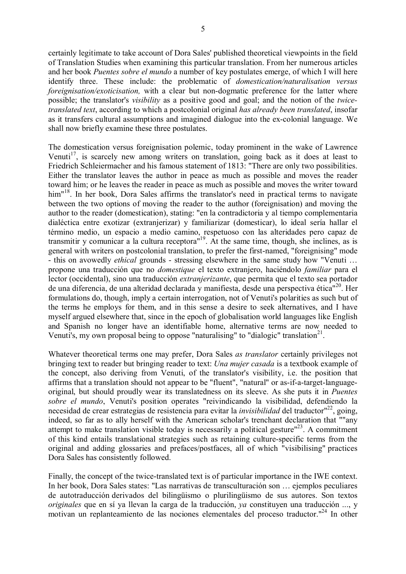certainly legitimate to take account of Dora Sales' published theoretical viewpoints in the field of Translation Studies when examining this particular translation. From her numerous articles and her book *Puentes sobre el mundo* a number of key postulates emerge, of which I will here identify three. These include: the problematic of *domestication/naturalisation versus foreignisation/exoticisation*, with a clear but non-dogmatic preference for the latter where possible; the translator's *visibility* as a positive good and goal; and the notion of the *twicetranslated text*, according to which a postcolonial original *has already been translated*, insofar as it transfers cultural assumptions and imagined dialogue into the ex-colonial language. We shall now briefly examine these three postulates.

The domestication versus foreignisation polemic, today prominent in the wake of Lawrence Venuti<sup>17</sup>, is scarcely new among writers on translation, going back as it does at least to Friedrich Schleiermacher and his famous statement of 1813: "There are only two possibilities. Either the translator leaves the author in peace as much as possible and moves the reader toward him; or he leaves the reader in peace as much as possible and moves the writer toward him"<sup>18</sup>. In her book, Dora Sales affirms the translator's need in practical terms to navigate between the two options of moving the reader to the author (foreignisation) and moving the author to the reader (domestication), stating: "en la contradictoria y al tiempo complementaria dialéctica entre exotizar (extranjerizar) y familiarizar (domesticar), lo ideal sería hallar el término medio, un espacio a medio camino, respetuoso con las alteridades pero capaz de transmitir y comunicar a la cultura receptora<sup>"19</sup>. At the same time, though, she inclines, as is general with writers on postcolonial translation, to prefer the first-named, "foreignising" mode - this on avowedly *ethical* grounds - stressing elsewhere in the same study how "Venuti … propone una traducción que no *domestique* el texto extranjero, haciéndolo *familiar* para el lector (occidental), sino una traducción *extranjerizante*, que permita que el texto sea portador de una diferencia, de una alteridad declarada y manifiesta, desde una perspectiva ética<sup>"20</sup>. Her formulations do, though, imply a certain interrogation, not of Venuti's polarities as such but of the terms he employs for them, and in this sense a desire to seek alternatives, and I have myself argued elsewhere that, since in the epoch of globalisation world languages like English and Spanish no longer have an identifiable home, alternative terms are now needed to Venuti's, my own proposal being to oppose "naturalising" to "dialogic" translation<sup>21</sup>.

Whatever theoretical terms one may prefer, Dora Sales *as translator* certainly privileges not bringing text to reader but bringing reader to text: *Una mujer casada* is a textbook example of the concept, also deriving from Venuti, of the translator's visibility, i.e. the position that affirms that a translation should not appear to be "fluent", "natural" or as-if-a-target-languageoriginal, but should proudly wear its translatedness on its sleeve. As she puts it in *Puentes sobre el mundo*, Venuti's position operates "reivindicando la visibilidad, defendiendo la necesidad de crear estrategias de resistencia para evitar la *invisibilidad* del traductor<sup>122</sup>, going, indeed, so far as to ally herself with the American scholar's trenchant declaration that ""any attempt to make translation visible today is necessarily a political gesture $123$ . A commitment of this kind entails translational strategies such as retaining culture-specific terms from the original and adding glossaries and prefaces/postfaces, all of which "visibilising" practices Dora Sales has consistently followed.

Finally, the concept of the twice-translated text is of particular importance in the IWE context. In her book, Dora Sales states: "Las narrativas de transculturación son … ejemplos peculiares de autotraducción derivados del bilingüismo o plurilingüismo de sus autores. Son textos *originales* que en sí ya llevan la carga de la traducción, *ya* constituyen una traducción ..., y motivan un replanteamiento de las nociones elementales del proceso traductor.<sup>"24</sup> In other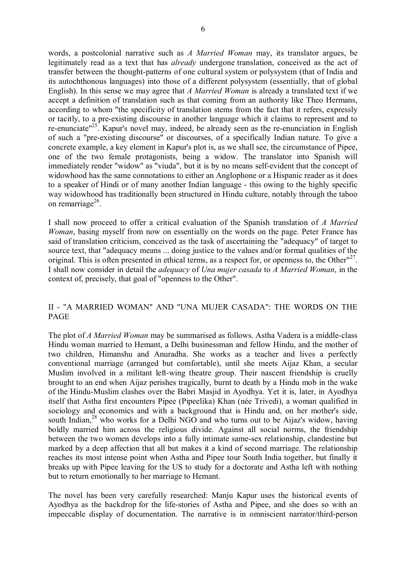words, a postcolonial narrative such as *A Married Woman* may, its translator argues, be legitimately read as a text that has *already* undergone translation, conceived as the act of transfer between the thought-patterns of one cultural system or polysystem (that of India and its autochthonous languages) into those of a different polysystem (essentially, that of global English). In this sense we may agree that *A Married Woman* is already a translated text if we accept a definition of translation such as that coming from an authority like Theo Hermans, according to whom "the specificity of translation stems from the fact that it refers, expressly or tacitly, to a pre-existing discourse in another language which it claims to represent and to re-enunciate"<sup>25</sup>. Kapur's novel may, indeed, be already seen as the re-enunciation in English of such a "pre-existing discourse" or discourses, of a specifically Indian nature. To give a concrete example, a key element in Kapur's plot is, as we shall see, the circumstance of Pipee, one of the two female protagonists, being a widow. The translator into Spanish will immediately render "widow" as "viuda", but it is by no means self-evident that the concept of widowhood has the same connotations to either an Anglophone or a Hispanic reader as it does to a speaker of Hindi or of many another Indian language - this owing to the highly specific way widowhood has traditionally been structured in Hindu culture, notably through the taboo on remarriage<sup>26</sup>.

I shall now proceed to offer a critical evaluation of the Spanish translation of *A Married Woman*, basing myself from now on essentially on the words on the page. Peter France has said of translation criticism, conceived as the task of ascertaining the "adequacy" of target to source text, that "adequacy means ... doing justice to the values and/or formal qualities of the original. This is often presented in ethical terms, as a respect for, or openness to, the Other<sup>"27</sup>. I shall now consider in detail the *adequacy* of *Una mujer casada* to *A Married Woman*, in the context of, precisely, that goal of "openness to the Other".

## II - "A MARRIED WOMAN" AND "UNA MUJER CASADA": THE WORDS ON THE PAGE

The plot of *A Married Woman* may be summarised as follows. Astha Vadera is a middle-class Hindu woman married to Hemant, a Delhi businessman and fellow Hindu, and the mother of two children, Himanshu and Anuradha. She works as a teacher and lives a perfectly conventional marriage (arranged but comfortable), until she meets Aijaz Khan, a secular Muslim involved in a militant left-wing theatre group. Their nascent friendship is cruelly brought to an end when Aijaz perishes tragically, burnt to death by a Hindu mob in the wake of the Hindu-Muslim clashes over the Babri Masjid in Ayodhya. Yet it is, later, in Ayodhya itself that Astha first encounters Pipee (Pipeelika) Khan (née Trivedi), a woman qualified in sociology and economics and with a background that is Hindu and, on her mother's side, south Indian,<sup>28</sup> who works for a Delhi NGO and who turns out to be Aijaz's widow, having boldly married him across the religious divide. Against all social norms, the friendship between the two women develops into a fully intimate same-sex relationship, clandestine but marked by a deep affection that all but makes it a kind of second marriage. The relationship reaches its most intense point when Astha and Pipee tour South India together, but finally it breaks up with Pipee leaving for the US to study for a doctorate and Astha left with nothing but to return emotionally to her marriage to Hemant.

The novel has been very carefully researched: Manju Kapur uses the historical events of Ayodhya as the backdrop for the life-stories of Astha and Pipee, and she does so with an impeccable display of documentation. The narrative is in omniscient narrator/third-person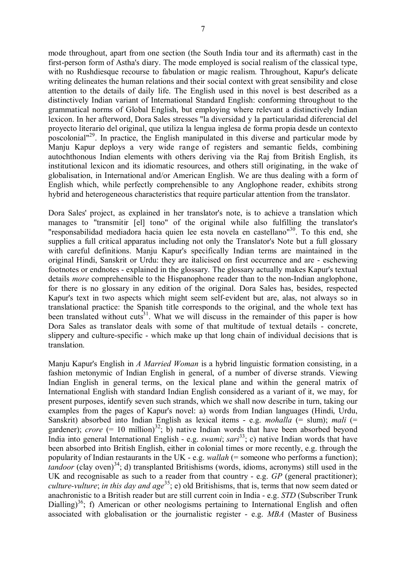mode throughout, apart from one section (the South India tour and its aftermath) cast in the first-person form of Astha's diary. The mode employed is social realism of the classical type, with no Rushdiesque recourse to fabulation or magic realism. Throughout, Kapur's delicate writing delineates the human relations and their social context with great sensibility and close attention to the details of daily life. The English used in this novel is best described as a distinctively Indian variant of International Standard English: conforming throughout to the grammatical norms of Global English, but employing where relevant a distinctively Indian lexicon. In her afterword, Dora Sales stresses "la diversidad y la particularidad diferencial del proyecto literario del original, que utiliza la lengua inglesa de forma propia desde un contexto poscolonial"<sup>29</sup>. In practice, the English manipulated in this diverse and particular mode by Manju Kapur deploys a very wide range of registers and semantic fields, combining autochthonous Indian elements with others deriving via the Raj from British English, its institutional lexicon and its idiomatic resources, and others still originating, in the wake of globalisation, in International and/or American English. We are thus dealing with a form of English which, while perfectly comprehensible to any Anglophone reader, exhibits strong hybrid and heterogeneous characteristics that require particular attention from the translator.

Dora Sales' project, as explained in her translator's note, is to achieve a translation which manages to "transmitir [el] tono" of the original while also fulfilling the translator's "responsabilidad mediadora hacia quien lee esta novela en castellano"<sup>30</sup>. To this end, she supplies a full critical apparatus including not only the Translator's Note but a full glossary with careful definitions. Manju Kapur's specifically Indian terms are maintained in the original Hindi, Sanskrit or Urdu: they are italicised on first occurrence and are - eschewing footnotes or endnotes - explained in the glossary. The glossary actually makes Kapur's textual details *more* comprehensible to the Hispanophone reader than to the non-Indian anglophone, for there is no glossary in any edition of the original. Dora Sales has, besides, respected Kapur's text in two aspects which might seem self-evident but are, alas, not always so in translational practice: the Spanish title corresponds to the original, and the whole text has been translated without cuts<sup>31</sup>. What we will discuss in the remainder of this paper is how Dora Sales as translator deals with some of that multitude of textual details - concrete, slippery and culture-specific - which make up that long chain of individual decisions that is translation.

Manju Kapur's English in *A Married Woman* is a hybrid linguistic formation consisting, in a fashion metonymic of Indian English in general, of a number of diverse strands. Viewing Indian English in general terms, on the lexical plane and within the general matrix of International English with standard Indian English considered as a variant of it, we may, for present purposes, identify seven such strands, which we shall now describe in turn, taking our examples from the pages of Kapur's novel: a) words from Indian languages (Hindi, Urdu, Sanskrit) absorbed into Indian English as lexical items - e.g. *mohalla* (= slum); *mali* (= gardener); *crore*  $(= 10 \text{ million})^{32}$ ; b) native Indian words that have been absorbed beyond India into general International English - e.g. *swami*; *sari*<sup>33</sup>; c) native Indian words that have been absorbed into British English, either in colonial times or more recently, e.g. through the popularity of Indian restaurants in the UK - e.g. *wallah* (= someone who performs a function); *tandoor* (clay oven)<sup>34</sup>; d) transplanted Britishisms (words, idioms, acronyms) still used in the UK and recognisable as such to a reader from that country - e.g. *GP* (general practitioner); *culture-vulture*; *in this day and age*<sup>35</sup>; e) old Britishisms, that is, terms that now seem dated or anachronistic to a British reader but are still current coin in India - e.g. *STD* (Subscriber Trunk Dialling)<sup>36</sup>; f) American or other neologisms pertaining to International English and often associated with globalisation or the journalistic register - e.g. *MBA* (Master of Business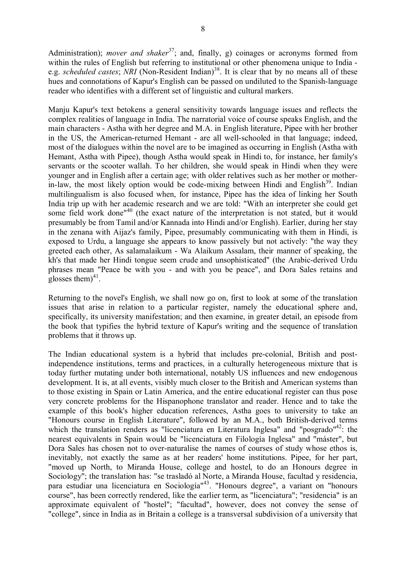Administration); *mover and shaker*<sup>37</sup>; and, finally, g) coinages or acronyms formed from within the rules of English but referring to institutional or other phenomena unique to India e.g. *scheduled castes*; *NRI* (Non-Resident Indian)<sup>38</sup>. It is clear that by no means all of these hues and connotations of Kapur's English can be passed on undiluted to the Spanish-language reader who identifies with a different set of linguistic and cultural markers.

Manju Kapur's text betokens a general sensitivity towards language issues and reflects the complex realities of language in India. The narratorial voice of course speaks English, and the main characters - Astha with her degree and M.A. in English literature, Pipee with her brother in the US, the American-returned Hemant - are all well-schooled in that language; indeed, most of the dialogues within the novel are to be imagined as occurring in English (Astha with Hemant, Astha with Pipee), though Astha would speak in Hindi to, for instance, her family's servants or the scooter wallah. To her children, she would speak in Hindi when they were younger and in English after a certain age; with older relatives such as her mother or motherin-law, the most likely option would be code-mixing between Hindi and English<sup>39</sup>. Indian multilingualism is also focused when, for instance, Pipee has the idea of linking her South India trip up with her academic research and we are told: "With an interpreter she could get some field work done<sup>"40</sup> (the exact nature of the interpretation is not stated, but it would presumably be from Tamil and/or Kannada into Hindi and/or English). Earlier, during her stay in the zenana with Aijaz's family, Pipee, presumably communicating with them in Hindi, is exposed to Urdu, a language she appears to know passively but not actively: "the way they greeted each other, As salamalaikum - Wa Alaikum Assalam, their manner of speaking, the kh's that made her Hindi tongue seem crude and unsophisticated" (the Arabic-derived Urdu phrases mean "Peace be with you - and with you be peace", and Dora Sales retains and glosses them $)^{41}$ .

Returning to the novel's English, we shall now go on, first to look at some of the translation issues that arise in relation to a particular register, namely the educational sphere and, specifically, its university manifestation; and then examine, in greater detail, an episode from the book that typifies the hybrid texture of Kapur's writing and the sequence of translation problems that it throws up.

The Indian educational system is a hybrid that includes pre-colonial, British and postindependence institutions, terms and practices, in a culturally heterogeneous mixture that is today further mutating under both international, notably US influences and new endogenous development. It is, at all events, visibly much closer to the British and American systems than to those existing in Spain or Latin America, and the entire educational register can thus pose very concrete problems for the Hispanophone translator and reader. Hence and to take the example of this book's higher education references, Astha goes to university to take an "Honours course in English Literature", followed by an M.A., both British-derived terms which the translation renders as "licenciatura en Literatura Inglesa" and "posgrado"<sup>42</sup>: the nearest equivalents in Spain would be "licenciatura en Filología Inglesa" and "máster", but Dora Sales has chosen not to over-naturalise the names of courses of study whose ethos is, inevitably, not exactly the same as at her readers' home institutions. Pipee, for her part, "moved up North, to Miranda House, college and hostel, to do an Honours degree in Sociology"; the translation has: "se trasladó al Norte, a Miranda House, facultad y residencia, para estudiar una licenciatura en Sociología"<sup>43</sup>. "Honours degree", a variant on "honours course", has been correctly rendered, like the earlier term, as "licenciatura"; "residencia" is an approximate equivalent of "hostel"; "facultad", however, does not convey the sense of "college", since in India as in Britain a college is a transversal subdivision of a university that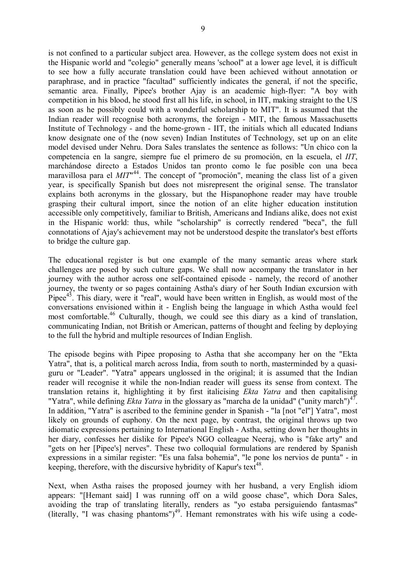is not confined to a particular subject area. However, as the college system does not exist in the Hispanic world and "colegio" generally means 'school" at a lower age level, it is difficult to see how a fully accurate translation could have been achieved without annotation or paraphrase, and in practice "facultad" sufficiently indicates the general, if not the specific, semantic area. Finally, Pipee's brother Ajay is an academic high-flyer: "A boy with competition in his blood, he stood first all his life, in school, in IIT, making straight to the US as soon as he possibly could with a wonderful scholarship to MIT". It is assumed that the Indian reader will recognise both acronyms, the foreign - MIT, the famous Massachusetts Institute of Technology - and the home-grown - IIT, the initials which all educated Indians know designate one of the (now seven) Indian Institutes of Technology, set up on an elite model devised under Nehru. Dora Sales translates the sentence as follows: "Un chico con la competencia en la sangre, siempre fue el primero de su promoción, en la escuela, el *IIT*, marchándose directo a Estados Unidos tan pronto como le fue posible con una beca maravillosa para el *MIT*<sup>44</sup>. The concept of "promoción", meaning the class list of a given year, is specifically Spanish but does not misrepresent the original sense. The translator explains both acronyms in the glossary, but the Hispanophone reader may have trouble grasping their cultural import, since the notion of an elite higher education institution accessible only competitively, familiar to British, Americans and Indians alike, does not exist in the Hispanic world: thus, while "scholarship" is correctly rendered "beca", the full connotations of Ajay's achievement may not be understood despite the translator's best efforts to bridge the culture gap.

The educational register is but one example of the many semantic areas where stark challenges are posed by such culture gaps. We shall now accompany the translator in her journey with the author across one self-contained episode - namely, the record of another journey, the twenty or so pages containing Astha's diary of her South Indian excursion with Pipee $45$ . This diary, were it "real", would have been written in English, as would most of the conversations envisioned within it - English being the language in which Astha would feel most comfortable.<sup>46</sup> Culturally, though, we could see this diary as a kind of translation, communicating Indian, not British or American, patterns of thought and feeling by deploying to the full the hybrid and multiple resources of Indian English.

The episode begins with Pipee proposing to Astha that she accompany her on the "Ekta Yatra", that is, a political march across India, from south to north, masterminded by a quasiguru or "Leader". "Yatra" appears unglossed in the original; it is assumed that the Indian reader will recognise it while the non-Indian reader will guess its sense from context. The translation retains it, highlighting it by first italicising *Ekta Yatra* and then capitalising "Yatra", while defining *Ekta Yatra* in the glossary as "marcha de la unidad" ("unity march")<sup>47</sup>. In addition, "Yatra" is ascribed to the feminine gender in Spanish - "la [not "el"] Yatra", most likely on grounds of euphony. On the next page, by contrast, the original throws up two idiomatic expressions pertaining to International English - Astha, setting down her thoughts in her diary, confesses her dislike for Pipee's NGO colleague Neeraj, who is "fake arty" and "gets on her [Pipee's] nerves". These two colloquial formulations are rendered by Spanish expressions in a similar register: "Es una falsa bohemia", "le pone los nervios de punta" - in keeping, therefore, with the discursive hybridity of Kapur's text<sup>48</sup>.

Next, when Astha raises the proposed journey with her husband, a very English idiom appears: "[Hemant said] I was running off on a wild goose chase", which Dora Sales, avoiding the trap of translating literally, renders as "yo estaba persiguiendo fantasmas" (literally, "I was chasing phantoms")<sup>49</sup>. Hemant remonstrates with his wife using a code-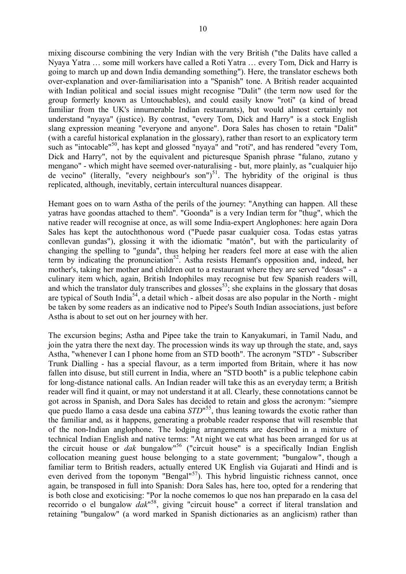mixing discourse combining the very Indian with the very British ("the Dalits have called a Nyaya Yatra … some mill workers have called a Roti Yatra … every Tom, Dick and Harry is going to march up and down India demanding something"). Here, the translator eschews both over-explanation and over-familiarisation into a "Spanish" tone. A British reader acquainted with Indian political and social issues might recognise "Dalit" (the term now used for the group formerly known as Untouchables), and could easily know "roti" (a kind of bread familiar from the UK's innumerable Indian restaurants), but would almost certainly not understand "nyaya" (justice). By contrast, "every Tom, Dick and Harry" is a stock English slang expression meaning "everyone and anyone". Dora Sales has chosen to retain "Dalit" (with a careful historical explanation in the glossary), rather than resort to an explicatory term such as "intocable"<sup>50</sup>, has kept and glossed "nyaya" and "roti", and has rendered "every Tom, Dick and Harry", not by the equivalent and picturesque Spanish phrase "fulano, zutano y mengano" - which might have seemed over-naturalising - but, more plainly, as "cualquier hijo de vecino" (literally, "every neighbour's son") $51$ . The hybridity of the original is thus replicated, although, inevitably, certain intercultural nuances disappear.

Hemant goes on to warn Astha of the perils of the journey: "Anything can happen. All these yatras have goondas attached to them". "Goonda" is a very Indian term for "thug", which the native reader will recognise at once, as will some India-expert Anglophones: here again Dora Sales has kept the autochthonous word ("Puede pasar cualquier cosa. Todas estas yatras conllevan gundas"), glossing it with the idiomatic "matón", but with the particularity of changing the spelling to "gunda", thus helping her readers feel more at ease with the alien term by indicating the pronunciation 52 . Astha resists Hemant's opposition and, indeed, her mother's, taking her mother and children out to a restaurant where they are served "dosas" - a culinary item which, again, British Indophiles may recognise but few Spanish readers will, and which the translator duly transcribes and glosses<sup>53</sup>; she explains in the glossary that dosas are typical of South India<sup>54</sup>, a detail which - albeit dosas are also popular in the North - might be taken by some readers as an indicative nod to Pipee's South Indian associations, just before Astha is about to set out on her journey with her.

The excursion begins; Astha and Pipee take the train to Kanyakumari, in Tamil Nadu, and join the yatra there the next day. The procession winds its way up through the state, and, says Astha, "whenever I can I phone home from an STD booth". The acronym "STD" - Subscriber Trunk Dialling - has a special flavour, as a term imported from Britain, where it has now fallen into disuse, but still current in India, where an "STD booth" is a public telephone cabin for long-distance national calls. An Indian reader will take this as an everyday term; a British reader will find it quaint, or may not understand it at all. Clearly, these connotations cannot be got across in Spanish, and Dora Sales has decided to retain and gloss the acronym: "siempre que puedo llamo a casa desde una cabina  $STD<sup>155</sup>$ , thus leaning towards the exotic rather than the familiar and, as it happens, generating a probable reader response that will resemble that of the non-Indian anglophone. The lodging arrangements are described in a mixture of technical Indian English and native terms: "At night we eat what has been arranged for us at the circuit house or *dak* bungalow"<sup>56</sup> ("circuit house" is a specifically Indian English collocation meaning guest house belonging to a state government; "bungalow", though a familiar term to British readers, actually entered UK English via Gujarati and Hindi and is even derived from the toponym "Bengal"<sup>57</sup>). This hybrid linguistic richness cannot, once again, be transposed in full into Spanish: Dora Sales has, here too, opted for a rendering that is both close and exoticising: "Por la noche comemos lo que nos han preparado en la casa del recorrido o el bungalow *dak*" 58 , giving "circuit house" a correct if literal translation and retaining "bungalow" (a word marked in Spanish dictionaries as an anglicism) rather than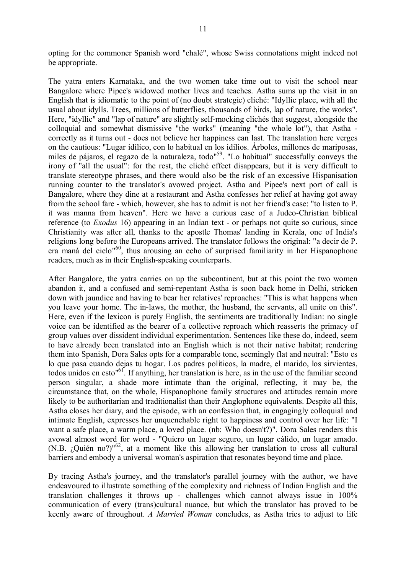opting for the commoner Spanish word "chalé", whose Swiss connotations might indeed not be appropriate.

The yatra enters Karnataka, and the two women take time out to visit the school near Bangalore where Pipee's widowed mother lives and teaches. Astha sums up the visit in an English that is idiomatic to the point of (no doubt strategic) cliché: "Idyllic place, with all the usual about idylls. Trees, millions of butterflies, thousands of birds, lap of nature, the works". Here, "idyllic" and "lap of nature" are slightly self-mocking clichés that suggest, alongside the colloquial and somewhat dismissive "the works" (meaning "the whole lot"), that Astha correctly as it turns out - does not believe her happiness can last. The translation here verges on the cautious: "Lugar idílico, con lo habitual en los idilios. Árboles, millones de mariposas, miles de pájaros, el regazo de la naturaleza, todo<sup>"59</sup>. "Lo habitual" successfully conveys the irony of "all the usual": for the rest, the cliché effect disappears, but it is very difficult to translate stereotype phrases, and there would also be the risk of an excessive Hispanisation running counter to the translator's avowed project. Astha and Pipee's next port of call is Bangalore, where they dine at a restaurant and Astha confesses her relief at having got away from the school fare - which, however, she has to admit is not her friend's case: "to listen to P. it was manna from heaven". Here we have a curious case of a Judeo-Christian biblical reference (to *Exodus* 16) appearing in an Indian text - or perhaps not quite so curious, since Christianity was after all, thanks to the apostle Thomas' landing in Kerala, one of India's religions long before the Europeans arrived. The translator follows the original: "a decir de P. era maná del cielo"<sup>60</sup>, thus arousing an echo of surprised familiarity in her Hispanophone readers, much as in their English-speaking counterparts.

After Bangalore, the yatra carries on up the subcontinent, but at this point the two women abandon it, and a confused and semi-repentant Astha is soon back home in Delhi, stricken down with jaundice and having to bear her relatives' reproaches: "This is what happens when you leave your home. The in-laws, the mother, the husband, the servants, all unite on this". Here, even if the lexicon is purely English, the sentiments are traditionally Indian: no single voice can be identified as the bearer of a collective reproach which reasserts the primacy of group values over dissident individual experimentation. Sentences like these do, indeed, seem to have already been translated into an English which is not their native habitat; rendering them into Spanish, Dora Sales opts for a comparable tone, seemingly flat and neutral: "Esto es lo que pasa cuando dejas tu hogar. Los padres políticos, la madre, el marido, los sirvientes, todos unidos en esto<sup>n61</sup>. If anything, her translation is here, as in the use of the familiar second person singular, a shade more intimate than the original, reflecting, it may be, the circumstance that, on the whole, Hispanophone family structures and attitudes remain more likely to be authoritarian and traditionalist than their Anglophone equivalents. Despite all this, Astha closes her diary, and the episode, with an confession that, in engagingly colloquial and intimate English, expresses her unquenchable right to happiness and control over her life: "I want a safe place, a warm place, a loved place. (nb: Who doesn't?)". Dora Sales renders this avowal almost word for word - "Quiero un lugar seguro, un lugar cálido, un lugar amado. (N.B.  $_{i}$ Quién no?)<sup>162</sup>, at a moment like this allowing her translation to cross all cultural barriers and embody a universal woman's aspiration that resonates beyond time and place.

By tracing Astha's journey, and the translator's parallel journey with the author, we have endeavoured to illustrate something of the complexity and richness of Indian English and the translation challenges it throws up - challenges which cannot always issue in 100% communication of every (trans)cultural nuance, but which the translator has proved to be keenly aware of throughout. *A Married Woman* concludes, as Astha tries to adjust to life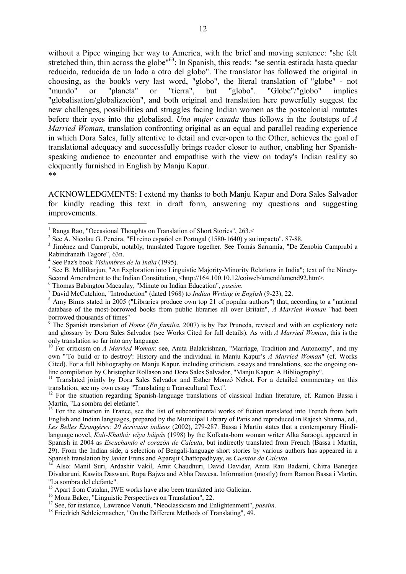without a Pipee winging her way to America, with the brief and moving sentence: "she felt stretched thin, thin across the globe<sup>"63</sup>: In Spanish, this reads: "se sentía estirada hasta quedar reducida, reducida de un lado a otro del globo". The translator has followed the original in choosing, as the book's very last word, "globo", the literal translation of "globe" - not "mundo" or "planeta" or "tierra", but "globo". "Globe"/"globo" implies "mundo" or "planeta" or "tierra", but "globo". "Globe"/"globo" implies "globalisation/globalización", and both original and translation here powerfully suggest the new challenges, possibilities and struggles facing Indian women as the postcolonial mutates before their eyes into the globalised. *Una mujer casada* thus follows in the footsteps of *A Married Woman*, translation confronting original as an equal and parallel reading experience in which Dora Sales, fully attentive to detail and ever-open to the Other, achieves the goal of translational adequacy and successfully brings reader closer to author, enabling her Spanishspeaking audience to encounter and empathise with the view on today's Indian reality so eloquently furnished in English by Manju Kapur. \*\*

ACKNOWLEDGMENTS: I extend my thanks to both Manju Kapur and Dora Sales Salvador for kindly reading this text in draft form, answering my questions and suggesting improvements.

1

- 6 Thomas Babington Macaulay, "Minute on Indian Education", *passim*.
- 7 David McCutchion, "Introduction" (dated 1968) to *Indian Writing in English* (9-23), 22.
- <sup>8</sup> Amy Binns stated in 2005 ("Libraries produce own top 21 of popular authors") that, according to a "national database of the most-borrowed books from public libraries all over Britain", *A Married Woman* "had been borrowed thousands of times"
- 9 The Spanish translation of *Home* (*En familia*, 2007) is by Paz Pruneda, revised and with an explicatory note and glossary by Dora Sales Salvador (see Works Cited for full details). As with *A Married Woman*, this is the only translation so far into any language.
- <sup>10</sup> For criticism on *A Married Woman*: see, Anita Balakrishnan, "Marriage, Tradition and Autonomy", and my own "'To build or to destroy': History and the individual in Manju Kapur's *A Married Woman*" (cf. Works Cited). For a full bibliography on Manju Kapur, including criticism, essays and translations, see the ongoing online compilation by Christopher Rollason and Dora Sales Salvador, "Manju Kapur: A Bibliography".

<sup>&</sup>lt;sup>1</sup> Ranga Rao, "Occasional Thoughts on Translation of Short Stories", 263.

<sup>&</sup>lt;sup>2</sup> See A. Nicolau G. Pereira, "El reino español en Portugal (1580-1640) y su impacto", 87-88.

<sup>3</sup> Jiménez and Camprubí, notably, translated Tagore together. See Tomás Sarramía, "De Zenobia Camprubí a Rabindranath Tagore", 63n.

<sup>4</sup> See Paz's book *Vislumbres de la India* (1995).

<sup>&</sup>lt;sup>5</sup> See B. Mallikarjun, "An Exploration into Linguistic Majority-Minority Relations in India"; text of the Ninety-Second Amendment to the Indian Constitution, <http://164.100.10.12/coiweb/amend/amend92.htm>.

<sup>&</sup>lt;sup>11</sup> Translated jointly by Dora Sales Salvador and Esther Monzó Nebot. For a detailed commentary on this translation, see my own essay "Translating a Transcultural Text".

<sup>&</sup>lt;sup>12</sup> For the situation regarding Spanish-language translations of classical Indian literature, cf. Ramon Bassa i Martín, "La sombra del elefante".

<sup>&</sup>lt;sup>13</sup> For the situation in France, see the list of subcontinental works of fiction translated into French from both English and Indian languages, prepared by the Municipal Library of Paris and reproduced in Rajesh Sharma, ed., *Les Belles Étrangères: 20 écrivains indiens* (2002), 279-287. Bassa i Martín states that a contemporary Hindilanguage novel, *Kali-Khathâ: vâya bâipâs* (1998) by the Kolkata-born woman writer Alka Saraogi, appeared in Spanish in 2004 as *Escuchando el corazón de Calcuta*, but indirectly translated from French (Bassa i Martín, 29). From the Indian side, a selection of Bengali-language short stories by various authors has appeared in a Spanish translation by Javier Fruns and Aparajit Chattopadhyay, as *Cuentos de Calcuta*.

<sup>14</sup> Also: Manil Suri, Ardashir Vakil, Amit Chaudhuri, David Davidar, Anita Rau Badami, Chitra Banerjee Divakaruni, Kawita Daswani, Rupa Bajwa and Abha Dawesa. Information (mostly) from Ramon Bassa i Martín, "La sombra del elefante".

<sup>&</sup>lt;sup>15</sup> Apart from Catalan, IWE works have also been translated into Galician.

<sup>&</sup>lt;sup>16</sup> Mona Baker, "Linguistic Perspectives on Translation", 22.

<sup>17</sup> See, for instance, Lawrence Venuti, "Neoclassicism and Enlightenment", *passim*.

<sup>&</sup>lt;sup>18</sup> Friedrich Schleiermacher, "On the Different Methods of Translating", 49.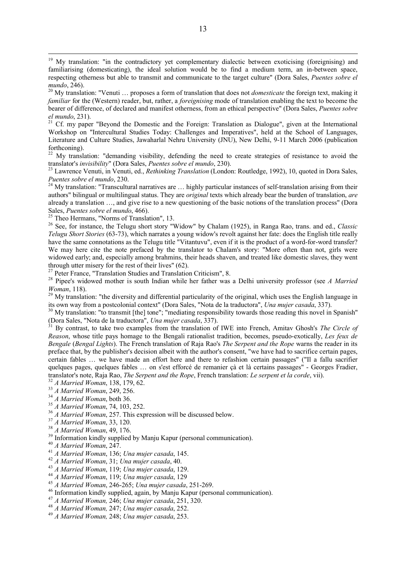<sup>19</sup> My translation: "in the contradictory yet complementary dialectic between exoticising (foreignising) and familiarising (domesticating), the ideal solution would be to find a medium term, an in-between space, respecting otherness but able to transmit and communicate to the target culture" (Dora Sales, *Puentes sobre el mundo*, 246).

<sup>20</sup> My translation: "Venuti … proposes a form of translation that does not *domesticate* the foreign text, making it *familiar* for the (Western) reader, but, rather, a *foreignising* mode of translation enabling the text to become the bearer of difference, of declared and manifest otherness, from an ethical perspective" (Dora Sales, *Puentes sobre el mundo*, 231).

 $21$  Cf. my paper "Beyond the Domestic and the Foreign: Translation as Dialogue", given at the International Workshop on "Intercultural Studies Today: Challenges and Imperatives", held at the School of Languages, Literature and Culture Studies, Jawaharlal Nehru University (JNU), New Delhi, 9-11 March 2006 (publication forthconing).

<sup>22</sup> My translation: "demanding visibility, defending the need to create strategies of resistance to avoid the translator's *invisibility*" (Dora Sales, *Puentes sobre el mundo*, 230).

<sup>23</sup> Lawrence Venuti, in Venuti, ed., *Rethinking Translation* (London: Routledge, 1992), 10, quoted in Dora Sales, *Puentes sobre el mundo*, 230.

 $24$  My translation: "Transcultural narratives are  $\dots$  highly particular instances of self-translation arising from their authors" bilingual or multilingual status. They are *original* texts which already bear the burden of translation, *are*  already a translation …, and give rise to a new questioning of the basic notions of the translation process" (Dora Sales, *Puentes sobre el mundo*, 466).

<sup>25</sup> Theo Hermans, "Norms of Translation", 13.

<u>.</u>

<sup>26</sup> See, for instance, the Telugu short story "Widow" by Chalam (1925), in Ranga Rao, trans. and ed., *Classic Telugu Short Stories* (63-73), which narrates a young widow's revolt against her fate: does the English title really have the same connotations as the Telugu title "Vitantuvu", even if it is the product of a word-for-word transfer? We may here cite the note prefaced by the translator to Chalam's story: "More often than not, girls were widowed early; and, especially among brahmins, their heads shaven, and treated like domestic slaves, they went through utter misery for the rest of their lives" (62).

<sup>27</sup> Peter France, "Translation Studies and Translation Criticism", 8.

<sup>28</sup> Pipee's widowed mother is south Indian while her father was a Delhi university professor (see *A Married Woman*, 118).

<sup>29</sup> My translation: "the diversity and differential particularity of the original, which uses the English language in its own way from a postcolonial context" (Dora Sales, "Nota de la traductora", *Una mujer casada*, 337).

<sup>30</sup> My translation: "to transmit [the] tone"; "mediating responsibility towards those reading this novel in Spanish" (Dora Sales, "Nota de la traductora", *Una mujer casada*, 337).

<sup>31</sup> By contrast, to take two examples from the translation of IWE into French, Amitav Ghosh's *The Circle of Reason*, whose title pays homage to the Bengali rationalist tradition, becomes, pseudo-exotically, *Les feux de Bengale* (*Bengal Lights*). The French translation of Raja Rao's *The Serpent and the Rope* warns the reader in its preface that, by the publisher's decision albeit with the author's consent, "we have had to sacrifice certain pages, certain fables … we have made an effort here and there to refashion certain passages" ("Il a fallu sacrifier quelques pages, quelques fables … on s'est efforcé de remanier çà et là certains passages" - Georges Fradier, translator's note, Raja Rao, *The Serpent and the Rope*, French translation: *Le serpent et la corde*, vii).

<sup>32</sup> *A Married Woman*, 138, 179, 62.

<sup>33</sup> *A Married Woman*, 249, 256.

<sup>34</sup> *A Married Woman*, both 36.

- <sup>35</sup> *A Married Woman*, 74, 103, 252.
- <sup>36</sup> *A Married Woman*, 257. This expression will be discussed below.
- <sup>37</sup> *A Married Woman*, 33, 120.
- <sup>38</sup> *A Married Woman*, 49, 176.
- <sup>39</sup> Information kindly supplied by Manju Kapur (personal communication).
- <sup>40</sup> *A Married Woman*, 247.
- <sup>41</sup> *A Married Woman*, 136; *Una mujer casada*, 145.
- <sup>42</sup> *A Married Woman*, 31; *Una mujer casada*, 40.
- <sup>43</sup> *A Married Woman*, 119; *Una mujer casada*, 129.
- <sup>44</sup> *A Married Woman*, 119; *Una mujer casada*, 129
- <sup>45</sup> *A Married Woman*, 246-265; *Una mujer casada*, 251-269.
- <sup>46</sup> Information kindly supplied, again, by Manju Kapur (personal communication).
- <sup>47</sup> *A Married Woman,* 246; *Una mujer casada*, 251, 320.
- <sup>48</sup> *A Married Woman,* 247; *Una mujer casada*, 252.
- <sup>49</sup> *A Married Woman,* 248; *Una mujer casada*, 253.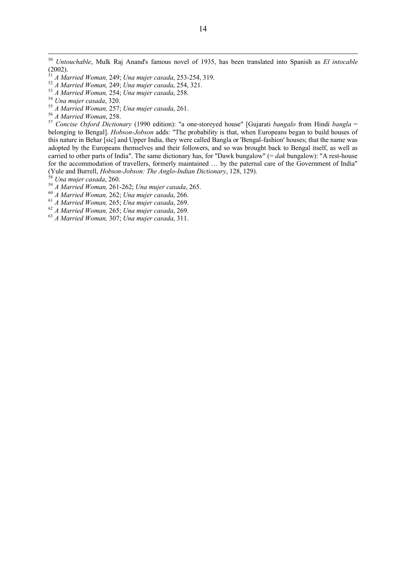<u>.</u>

- *A Married Woman,* 257; *Una mujer casada*, 261.
- *A Married Woman*, 258.

- *A Married Woman,* 261-262; *Una mujer casada*, 265.
- *A Married Woman,* 262; *Una mujer casada*, 266.
- *A Married Woman,* 265; *Una mujer casada*, 269.
- *A Married Woman,* 265; *Una mujer casada*, 269.
- *A Married Woman,* 307; *Una mujer casada*, 311.

 *Untouchable*, Mulk Raj Anand's famous novel of 1935, has been translated into Spanish as *El intocable* (2002).

*A Married Woman,* 249; *Una mujer casada*, 253-254, 319.

*A Married Woman,* 249; *Una mujer casada*, 254, 321.

*A Married Woman,* 254; *Una mujer casada*, 258.

*Una mujer casada*, 320.

 *Concise Oxford Dictionary* (1990 edition): "a one-storeyed house" [Gujarati *bangalo* from Hindi *bangla* = belonging to Bengal]. *Hobson-Jobson* adds: "The probability is that, when Europeans began to build houses of this nature in Behar [sic] and Upper India, they were called Bangla or 'Bengal-fashion' houses; that the name was adopted by the Europeans themselves and their followers, and so was brought back to Bengal itself, as well as carried to other parts of India". The same dictionary has, for "Dawk bungalow" (= *dak* bungalow): "A rest-house for the accommodation of travellers, formerly maintained … by the paternal care of the Government of India" (Yule and Burrell, *Hobson-Jobson: The Anglo-Indian Dictionary*, 128, 129).

*Una mujer casada*, 260.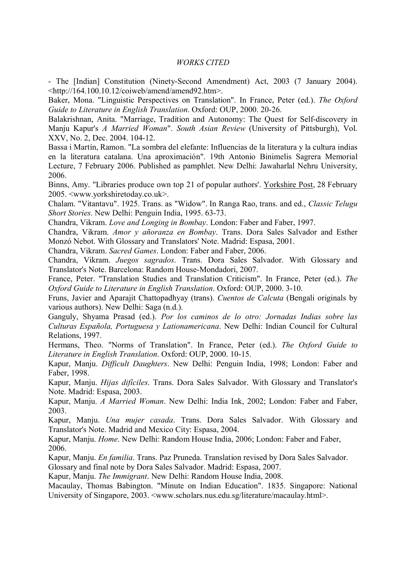## *WORKS CITED*

- The [Indian] Constitution (Ninety-Second Amendment) Act, 2003 (7 January 2004). <http://164.100.10.12/coiweb/amend/amend92.htm>.

Baker, Mona. "Linguistic Perspectives on Translation". In France, Peter (ed.). *The Oxford Guide to Literature in English Translation*. Oxford: OUP, 2000. 20-26.

Balakrishnan, Anita. "Marriage, Tradition and Autonomy: The Quest for Self-discovery in Manju Kapur's *A Married Woman*". *South Asian Review* (University of Pittsburgh), Vol. XXV, No. 2, Dec. 2004. 104-12.

Bassa i Martín, Ramon. "La sombra del elefante: Influencias de la literatura y la cultura indias en la literatura catalana. Una aproximación". 19th Antonio Binimelis Sagrera Memorial Lecture, 7 February 2006. Published as pamphlet. New Delhi: Jawaharlal Nehru University, 2006.

Binns, Amy. "Libraries produce own top 21 of popular authors'. Yorkshire Post, 28 February 2005. <www.yorkshiretoday.co.uk>.

Chalam. "Vitantavu". 1925. Trans. as "Widow". In Ranga Rao, trans. and ed., *Classic Telugu Short Stories*. New Delhi: Penguin India, 1995. 63-73.

Chandra, Vikram. *Love and Longing in Bombay*. London: Faber and Faber, 1997.

Chandra, Vikram. *Amor y añoranza en Bombay*. Trans. Dora Sales Salvador and Esther Monzó Nebot. With Glossary and Translators' Note. Madrid: Espasa, 2001.

Chandra, Vikram. *Sacred Games*. London: Faber and Faber, 2006.

Chandra, Vikram. *Juegos sagrados*. Trans. Dora Sales Salvador. With Glossary and Translator's Note. Barcelona: Random House-Mondadori, 2007.

France, Peter. "Translation Studies and Translation Criticism". In France, Peter (ed.). *The Oxford Guide to Literature in English Translation*. Oxford: OUP, 2000. 3-10.

Fruns, Javier and Aparajit Chattopadhyay (trans). *Cuentos de Calcuta* (Bengali originals by various authors). New Delhi: Saga (n.d.).

Ganguly, Shyama Prasad (ed.). *Por los caminos de lo otro: Jornadas Indias sobre las Culturas Española, Portuguesa y Lationamericana*. New Delhi: Indian Council for Cultural Relations, 1997.

Hermans, Theo. "Norms of Translation". In France, Peter (ed.). *The Oxford Guide to Literature in English Translation*. Oxford: OUP, 2000. 10-15.

Kapur, Manju. *Difficult Daughters*. New Delhi: Penguin India, 1998; London: Faber and Faber, 1998.

Kapur, Manju. *Hijas difíciles*. Trans. Dora Sales Salvador. With Glossary and Translator's Note. Madrid: Espasa, 2003.

Kapur, Manju. *A Married Woman*. New Delhi: India Ink, 2002; London: Faber and Faber, 2003.

Kapur, Manju. *Una mujer casada*. Trans. Dora Sales Salvador. With Glossary and Translator's Note. Madrid and Mexico City: Espasa, 2004.

Kapur, Manju. *Home*. New Delhi: Random House India, 2006; London: Faber and Faber, 2006.

Kapur, Manju. *En familia*. Trans. Paz Pruneda. Translation revised by Dora Sales Salvador.

Glossary and final note by Dora Sales Salvador. Madrid: Espasa, 2007.

Kapur, Manju. *The Immigrant*. New Delhi: Random House India, 2008.

Macaulay, Thomas Babington. "Minute on Indian Education". 1835. Singapore: National University of Singapore, 2003. <www.scholars.nus.edu.sg/literature/macaulay.html>.